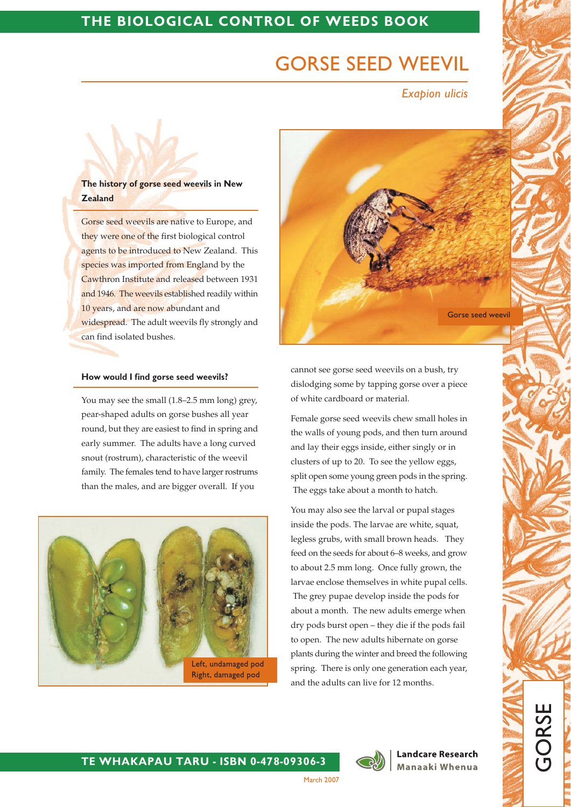# THE BIOLOGICAL CONTROL OF WEEDS BOOK

# **GORSE SEED WEEVIL**

**Exapion ulicis** 

## The history of gorse seed weevils in New **Zealand**

Gorse seed weevils are native to Europe, and they were one of the first biological control agents to be introduced to New Zealand. This species was imported from England by the Cawthron Institute and released between 1931 and 1946. The weevils established readily within 10 years, and are now abundant and widespread. The adult weevils fly strongly and can find isolated bushes.

#### How would I find gorse seed weevils?

You may see the small (1.8–2.5 mm long) grey, pear-shaped adults on gorse bushes all year round, but they are easiest to find in spring and early summer. The adults have a long curved snout (rostrum), characteristic of the weevil family. The females tend to have larger rostrums than the males, and are bigger overall. If you





cannot see gorse seed weevils on a bush, try dislodging some by tapping gorse over a piece of white cardboard or material.

Female gorse seed weevils chew small holes in the walls of young pods, and then turn around and lay their eggs inside, either singly or in clusters of up to 20. To see the yellow eggs, split open some young green pods in the spring. The eggs take about a month to hatch.

You may also see the larval or pupal stages inside the pods. The larvae are white, squat, legless grubs, with small brown heads. They feed on the seeds for about 6-8 weeks, and grow to about 2.5 mm long. Once fully grown, the larvae enclose themselves in white pupal cells. The grey pupae develop inside the pods for about a month. The new adults emerge when dry pods burst open - they die if the pods fail to open. The new adults hibernate on gorse plants during the winter and breed the following spring. There is only one generation each year, and the adults can live for 12 months.

TE WHAKAPAU TARU - ISBN 0-478-09306-3



**Landcare Research** Manaaki Whenua

**GORS** 

March 2007